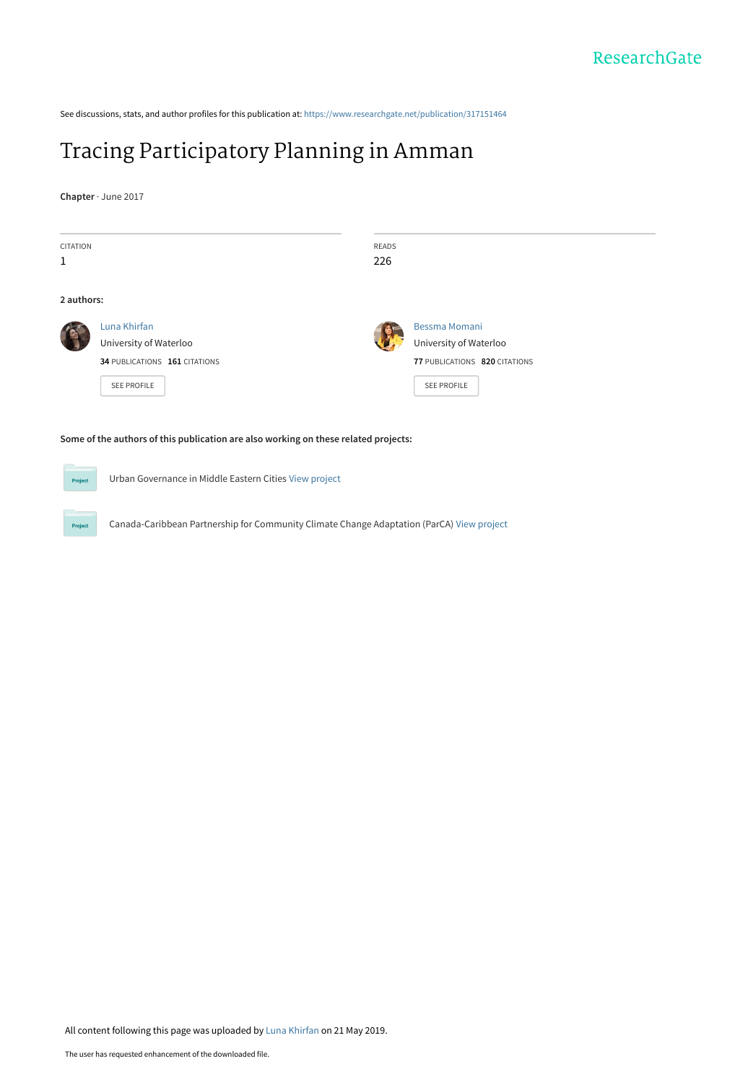See discussions, stats, and author profiles for this publication at: [https://www.researchgate.net/publication/317151464](https://www.researchgate.net/publication/317151464_Tracing_Participatory_Planning_in_Amman?enrichId=rgreq-cc5af19eb3dbf33804cd387e67e0e319-XXX&enrichSource=Y292ZXJQYWdlOzMxNzE1MTQ2NDtBUzo3NjEwNDUxNjU1NDM0MjZAMTU1ODQ1ODcxNTk5MQ%3D%3D&el=1_x_2&_esc=publicationCoverPdf)

# [Tracing Participatory Planning in Amman](https://www.researchgate.net/publication/317151464_Tracing_Participatory_Planning_in_Amman?enrichId=rgreq-cc5af19eb3dbf33804cd387e67e0e319-XXX&enrichSource=Y292ZXJQYWdlOzMxNzE1MTQ2NDtBUzo3NjEwNDUxNjU1NDM0MjZAMTU1ODQ1ODcxNTk5MQ%3D%3D&el=1_x_3&_esc=publicationCoverPdf)

**Chapter** · June 2017

| <b>CITATION</b><br>1                   | <b>READS</b><br>226                     |
|----------------------------------------|-----------------------------------------|
| 2 authors:                             |                                         |
| Luna Khirfan<br>University of Waterloo | Bessma Momani<br>University of Waterloo |
| 34 PUBLICATIONS 161 CITATIONS          | 77 PUBLICATIONS 820 CITATIONS           |
| <b>SEE PROFILE</b>                     | <b>SEE PROFILE</b>                      |

Urban Governance in Middle Eastern Cities [View project](https://www.researchgate.net/project/Urban-Governance-in-Middle-Eastern-Cities?enrichId=rgreq-cc5af19eb3dbf33804cd387e67e0e319-XXX&enrichSource=Y292ZXJQYWdlOzMxNzE1MTQ2NDtBUzo3NjEwNDUxNjU1NDM0MjZAMTU1ODQ1ODcxNTk5MQ%3D%3D&el=1_x_9&_esc=publicationCoverPdf)

Canada-Caribbean Partnership for Community Climate Change Adaptation (ParCA) [View project](https://www.researchgate.net/project/Canada-Caribbean-Partnership-for-Community-Climate-Change-Adaptation-ParCA?enrichId=rgreq-cc5af19eb3dbf33804cd387e67e0e319-XXX&enrichSource=Y292ZXJQYWdlOzMxNzE1MTQ2NDtBUzo3NjEwNDUxNjU1NDM0MjZAMTU1ODQ1ODcxNTk5MQ%3D%3D&el=1_x_9&_esc=publicationCoverPdf)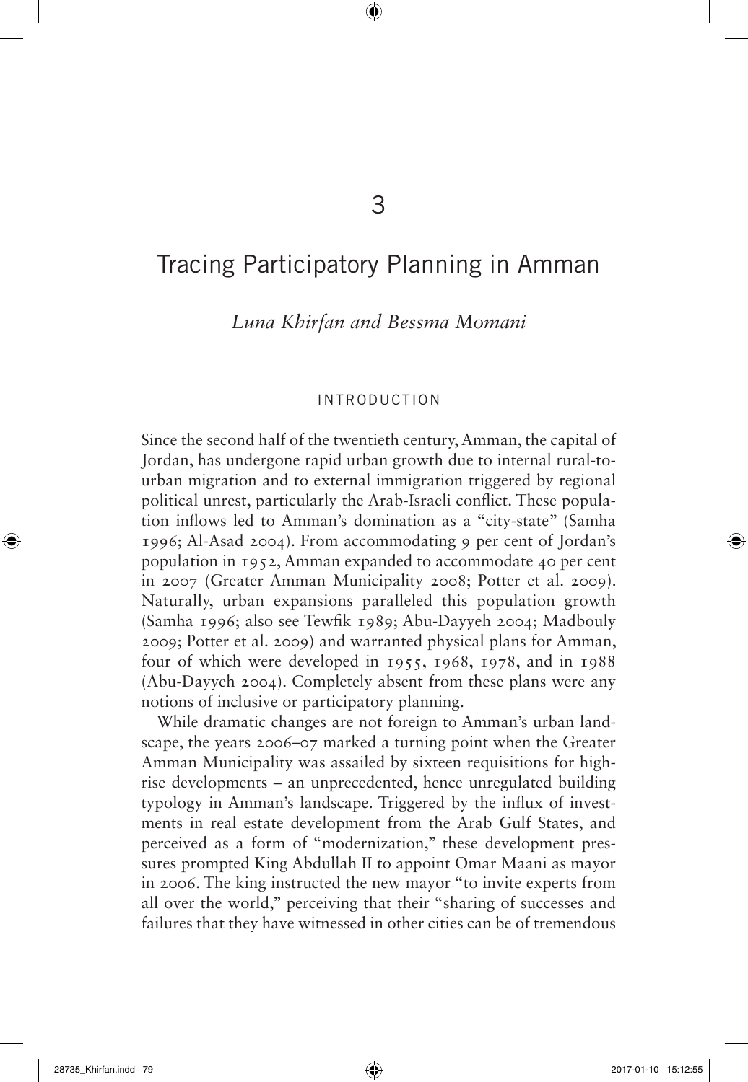## 3

 $\bigoplus$ 

## Tracing Participatory Planning in Amman

*Luna Khirfan and Bessma Momani*

## introduction

Since the second half of the twentieth century, Amman, the capital of Jordan, has undergone rapid urban growth due to internal rural-tourban migration and to external immigration triggered by regional political unrest, particularly the Arab-Israeli conflict. These population inflows led to Amman's domination as a "city-state" (Samha 1996; Al-Asad 2004). From accommodating 9 per cent of Jordan's population in 1952, Amman expanded to accommodate 40 per cent in 2007 (Greater Amman Municipality 2008; Potter et al. 2009). Naturally, urban expansions paralleled this population growth (Samha 1996; also see Tewfik 1989; Abu-Dayyeh 2004; Madbouly 2009; Potter et al. 2009) and warranted physical plans for Amman, four of which were developed in 1955, 1968, 1978, and in 1988 (Abu-Dayyeh 2004). Completely absent from these plans were any notions of inclusive or participatory planning.

While dramatic changes are not foreign to Amman's urban landscape, the years 2006–07 marked a turning point when the Greater Amman Municipality was assailed by sixteen requisitions for highrise developments – an unprecedented, hence unregulated building typology in Amman's landscape. Triggered by the influx of investments in real estate development from the Arab Gulf States, and perceived as a form of "modernization," these development pressures prompted King Abdullah II to appoint Omar Maani as mayor in 2006. The king instructed the new mayor "to invite experts from all over the world," perceiving that their "sharing of successes and failures that they have witnessed in other cities can be of tremendous

⊕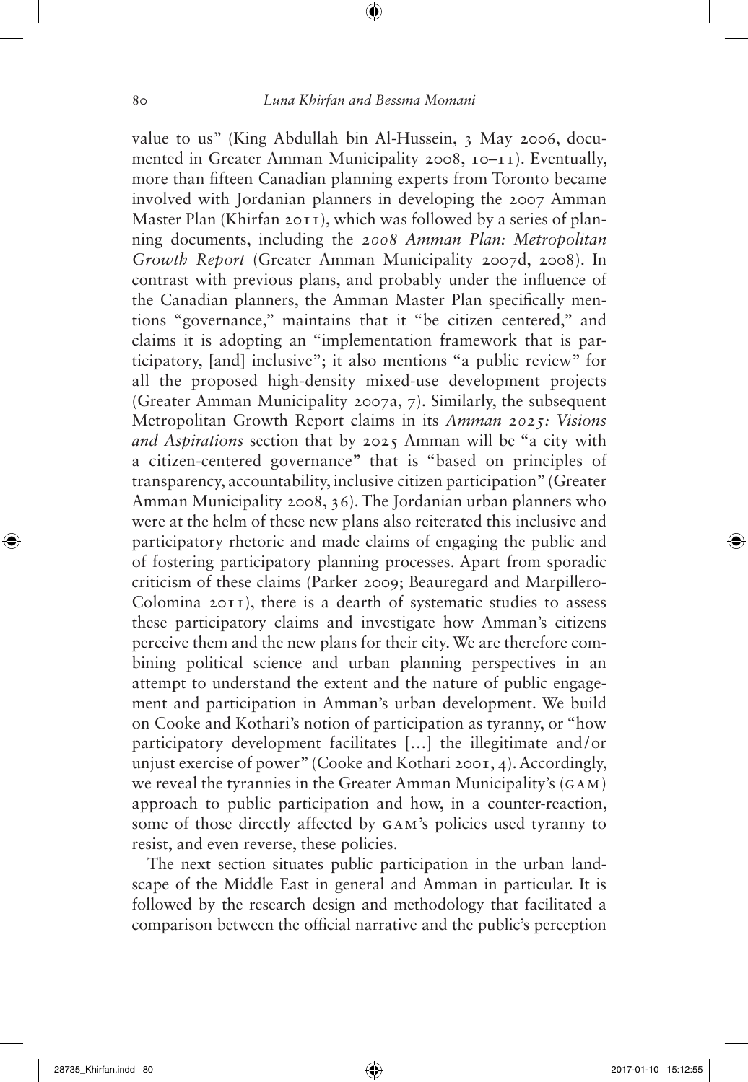value to us" (King Abdullah bin Al-Hussein, 3 May 2006, documented in Greater Amman Municipality 2008, 10–11). Eventually, more than fifteen Canadian planning experts from Toronto became involved with Jordanian planners in developing the 2007 Amman Master Plan (Khirfan 2011), which was followed by a series of planning documents, including the *2008 Amman Plan: Metropolitan Growth Report* (Greater Amman Municipality 2007d, 2008). In contrast with previous plans, and probably under the influence of the Canadian planners, the Amman Master Plan specifically mentions "governance," maintains that it "be citizen centered," and claims it is adopting an "implementation framework that is participatory, [and] inclusive"; it also mentions "a public review" for all the proposed high-density mixed-use development projects (Greater Amman Municipality 2007a, 7). Similarly, the subsequent Metropolitan Growth Report claims in its *Amman 2025: Visions and Aspirations* section that by 2025 Amman will be "a city with a citizen-centered governance" that is "based on principles of transparency, accountability, inclusive citizen participation" (Greater Amman Municipality 2008, 36). The Jordanian urban planners who were at the helm of these new plans also reiterated this inclusive and participatory rhetoric and made claims of engaging the public and of fostering participatory planning processes. Apart from sporadic criticism of these claims (Parker 2009; Beauregard and Marpillero-Colomina 2011), there is a dearth of systematic studies to assess these participatory claims and investigate how Amman's citizens perceive them and the new plans for their city. We are therefore combining political science and urban planning perspectives in an attempt to understand the extent and the nature of public engagement and participation in Amman's urban development. We build on Cooke and Kothari's notion of participation as tyranny, or "how participatory development facilitates […] the illegitimate and/or unjust exercise of power" (Cooke and Kothari 2001, 4). Accordingly, we reveal the tyrannies in the Greater Amman Municipality's (GAM) approach to public participation and how, in a counter-reaction, some of those directly affected by GAM's policies used tyranny to resist, and even reverse, these policies.

The next section situates public participation in the urban landscape of the Middle East in general and Amman in particular. It is followed by the research design and methodology that facilitated a comparison between the official narrative and the public's perception

⊕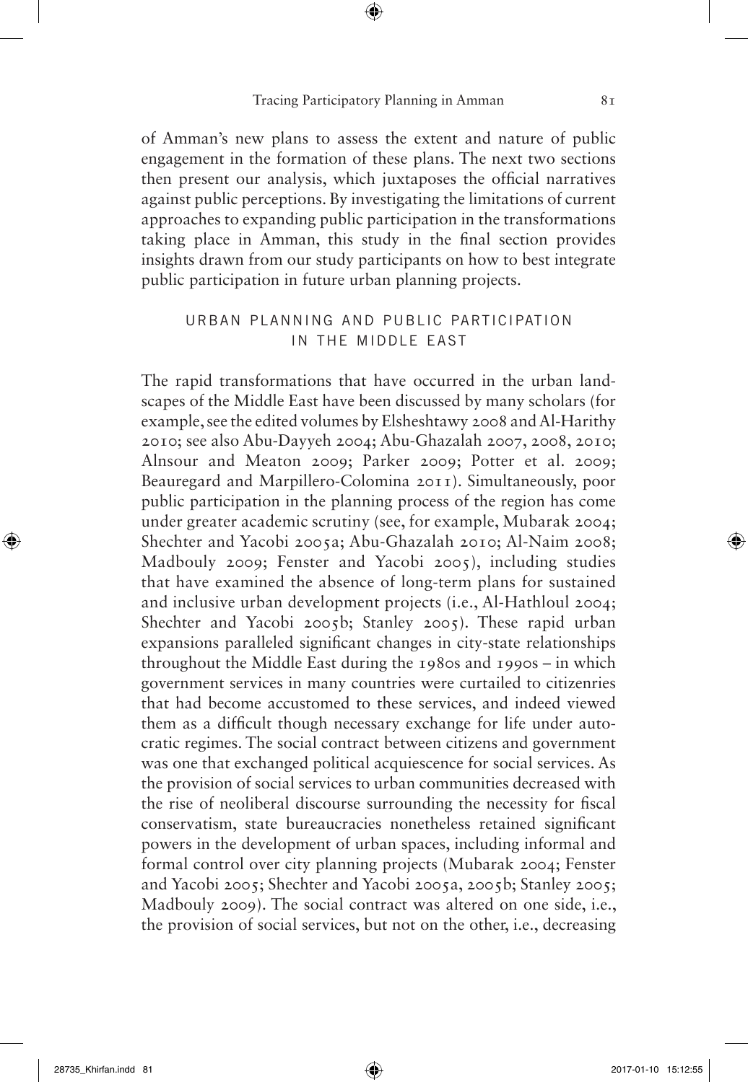⊕

of Amman's new plans to assess the extent and nature of public engagement in the formation of these plans. The next two sections then present our analysis, which juxtaposes the official narratives against public perceptions. By investigating the limitations of current approaches to expanding public participation in the transformations taking place in Amman, this study in the final section provides insights drawn from our study participants on how to best integrate public participation in future urban planning projects.

## urban planning and public participation in the middle east

The rapid transformations that have occurred in the urban landscapes of the Middle East have been discussed by many scholars (for example, see the edited volumes by Elsheshtawy 2008 and Al-Harithy 2010; see also Abu-Dayyeh 2004; Abu-Ghazalah 2007, 2008, 2010; Alnsour and Meaton 2009; Parker 2009; Potter et al. 2009; Beauregard and Marpillero-Colomina 2011). Simultaneously, poor public participation in the planning process of the region has come under greater academic scrutiny (see, for example, Mubarak 2004; Shechter and Yacobi 2005a; Abu-Ghazalah 2010; Al-Naim 2008; Madbouly 2009; Fenster and Yacobi 2005), including studies that have examined the absence of long-term plans for sustained and inclusive urban development projects (i.e., Al-Hathloul 2004; Shechter and Yacobi 2005b; Stanley 2005). These rapid urban expansions paralleled significant changes in city-state relationships throughout the Middle East during the 1980s and 1990s – in which government services in many countries were curtailed to citizenries that had become accustomed to these services, and indeed viewed them as a difficult though necessary exchange for life under autocratic regimes. The social contract between citizens and government was one that exchanged political acquiescence for social services. As the provision of social services to urban communities decreased with the rise of neoliberal discourse surrounding the necessity for fiscal conservatism, state bureaucracies nonetheless retained significant powers in the development of urban spaces, including informal and formal control over city planning projects (Mubarak 2004; Fenster and Yacobi 2005; Shechter and Yacobi 2005a, 2005b; Stanley 2005; Madbouly 2009). The social contract was altered on one side, i.e., the provision of social services, but not on the other, i.e., decreasing

⊕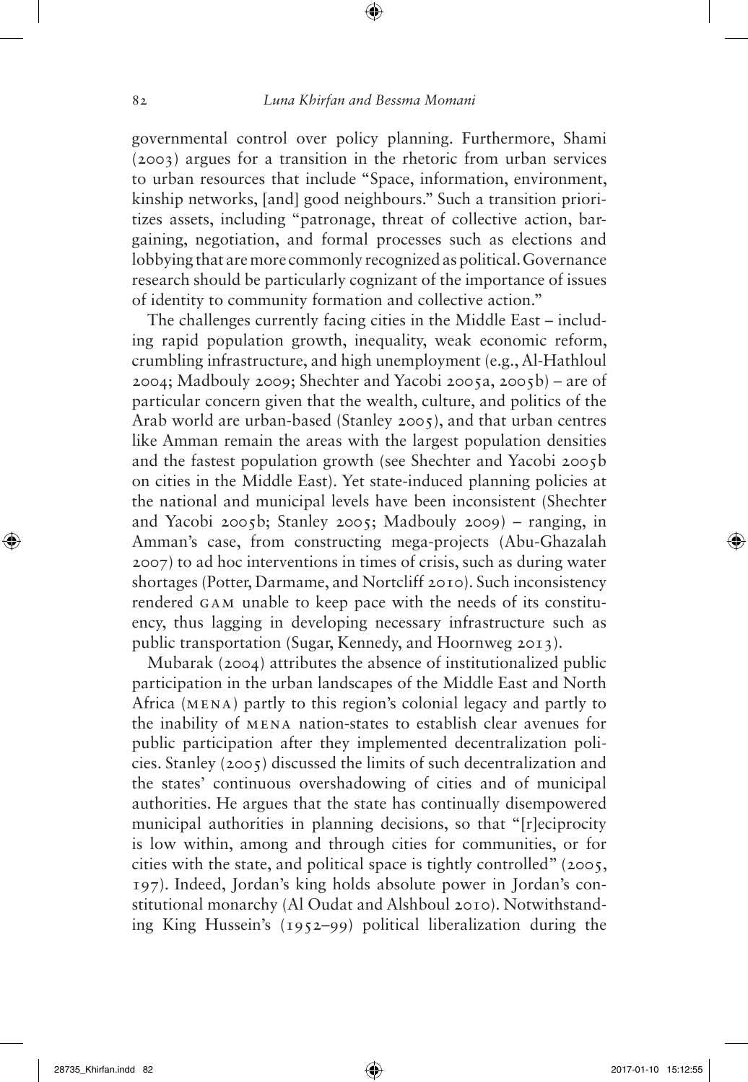governmental control over policy planning. Furthermore, Shami (2003) argues for a transition in the rhetoric from urban services to urban resources that include "Space, information, environment, kinship networks, [and] good neighbours." Such a transition prioritizes assets, including "patronage, threat of collective action, bargaining, negotiation, and formal processes such as elections and lobbying that are more commonly recognized as political. Governance research should be particularly cognizant of the importance of issues of identity to community formation and collective action."

The challenges currently facing cities in the Middle East – including rapid population growth, inequality, weak economic reform, crumbling infrastructure, and high unemployment (e.g., Al-Hathloul 2004; Madbouly 2009; Shechter and Yacobi 2005a, 2005b) – are of particular concern given that the wealth, culture, and politics of the Arab world are urban-based (Stanley 2005), and that urban centres like Amman remain the areas with the largest population densities and the fastest population growth (see Shechter and Yacobi 2005b on cities in the Middle East). Yet state-induced planning policies at the national and municipal levels have been inconsistent (Shechter and Yacobi 2005b; Stanley 2005; Madbouly 2009) – ranging, in Amman's case, from constructing mega-projects (Abu-Ghazalah 2007) to ad hoc interventions in times of crisis, such as during water shortages (Potter, Darmame, and Nortcliff 2010). Such inconsistency rendered GAM unable to keep pace with the needs of its constituency, thus lagging in developing necessary infrastructure such as public transportation (Sugar, Kennedy, and Hoornweg 2013).

Mubarak (2004) attributes the absence of institutionalized public participation in the urban landscapes of the Middle East and North Africa (MENA) partly to this region's colonial legacy and partly to the inability of MENA nation-states to establish clear avenues for public participation after they implemented decentralization policies. Stanley (2005) discussed the limits of such decentralization and the states' continuous overshadowing of cities and of municipal authorities. He argues that the state has continually disempowered municipal authorities in planning decisions, so that "[r]eciprocity is low within, among and through cities for communities, or for cities with the state, and political space is tightly controlled" (2005, 197). Indeed, Jordan's king holds absolute power in Jordan's constitutional monarchy (Al Oudat and Alshboul 2010). Notwithstanding King Hussein's (1952–99) political liberalization during the

⊕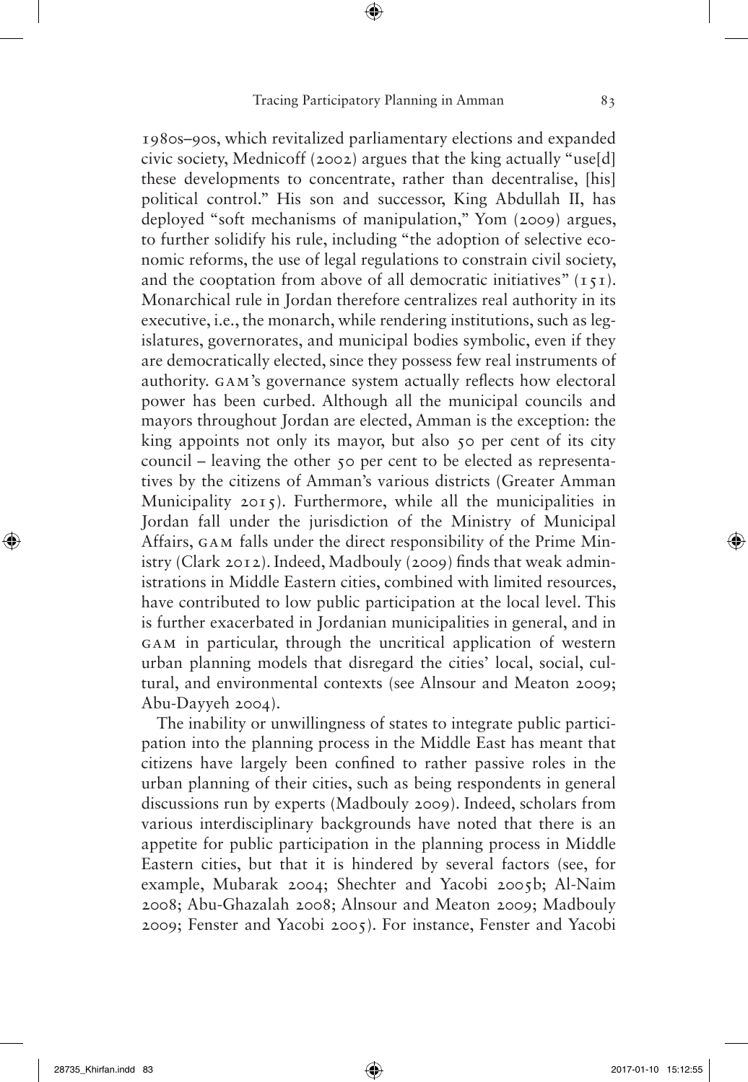1980s–90s, which revitalized parliamentary elections and expanded civic society, Mednicoff (2002) argues that the king actually "use[d] these developments to concentrate, rather than decentralise, [his] political control." His son and successor, King Abdullah II, has deployed "soft mechanisms of manipulation," Yom (2009) argues, to further solidify his rule, including "the adoption of selective economic reforms, the use of legal regulations to constrain civil society, and the cooptation from above of all democratic initiatives"  $(151)$ . Monarchical rule in Jordan therefore centralizes real authority in its executive, i.e., the monarch, while rendering institutions, such as legislatures, governorates, and municipal bodies symbolic, even if they are democratically elected, since they possess few real instruments of authority. GAM's governance system actually reflects how electoral power has been curbed. Although all the municipal councils and mayors throughout Jordan are elected, Amman is the exception: the king appoints not only its mayor, but also 50 per cent of its city council – leaving the other 50 per cent to be elected as representatives by the citizens of Amman's various districts (Greater Amman Municipality 2015). Furthermore, while all the municipalities in Jordan fall under the jurisdiction of the Ministry of Municipal Affairs, GAM falls under the direct responsibility of the Prime Ministry (Clark 2012). Indeed, Madbouly (2009) finds that weak administrations in Middle Eastern cities, combined with limited resources, have contributed to low public participation at the local level. This is further exacerbated in Jordanian municipalities in general, and in GAM in particular, through the uncritical application of western urban planning models that disregard the cities' local, social, cultural, and environmental contexts (see Alnsour and Meaton 2009; Abu-Dayyeh 2004).

The inability or unwillingness of states to integrate public participation into the planning process in the Middle East has meant that citizens have largely been confined to rather passive roles in the urban planning of their cities, such as being respondents in general discussions run by experts (Madbouly 2009). Indeed, scholars from various interdisciplinary backgrounds have noted that there is an appetite for public participation in the planning process in Middle Eastern cities, but that it is hindered by several factors (see, for example, Mubarak 2004; Shechter and Yacobi 2005b; Al-Naim 2008; Abu-Ghazalah 2008; Alnsour and Meaton 2009; Madbouly 2009; Fenster and Yacobi 2005). For instance, Fenster and Yacobi

⊕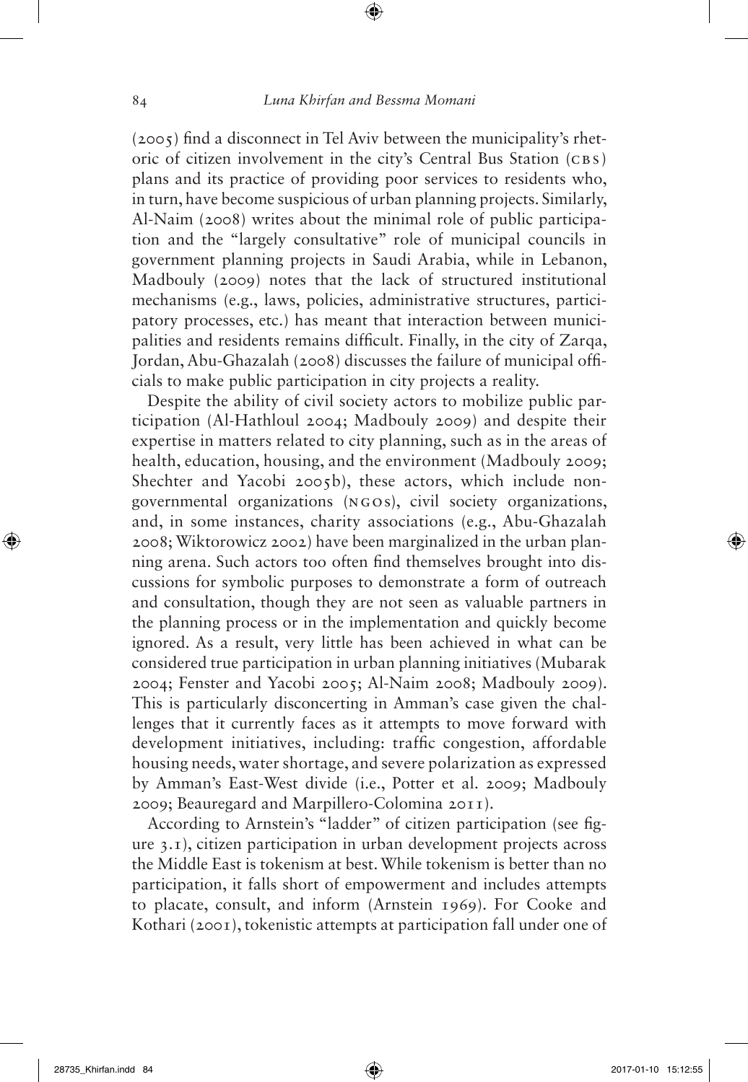(2005) find a disconnect in Tel Aviv between the municipality's rhetoric of citizen involvement in the city's Central Bus Station (CBS) plans and its practice of providing poor services to residents who, in turn, have become suspicious of urban planning projects. Similarly, Al-Naim (2008) writes about the minimal role of public participation and the "largely consultative" role of municipal councils in government planning projects in Saudi Arabia, while in Lebanon, Madbouly (2009) notes that the lack of structured institutional mechanisms (e.g., laws, policies, administrative structures, participatory processes, etc.) has meant that interaction between municipalities and residents remains difficult. Finally, in the city of Zarqa, Jordan, Abu-Ghazalah (2008) discusses the failure of municipal officials to make public participation in city projects a reality.

Despite the ability of civil society actors to mobilize public participation (Al-Hathloul 2004; Madbouly 2009) and despite their expertise in matters related to city planning, such as in the areas of health, education, housing, and the environment (Madbouly 2009; Shechter and Yacobi 2005b), these actors, which include nongovernmental organizations (NGOs), civil society organizations, and, in some instances, charity associations (e.g., Abu-Ghazalah 2008; Wiktorowicz 2002) have been marginalized in the urban planning arena. Such actors too often find themselves brought into discussions for symbolic purposes to demonstrate a form of outreach and consultation, though they are not seen as valuable partners in the planning process or in the implementation and quickly become ignored. As a result, very little has been achieved in what can be considered true participation in urban planning initiatives (Mubarak 2004; Fenster and Yacobi 2005; Al-Naim 2008; Madbouly 2009). This is particularly disconcerting in Amman's case given the challenges that it currently faces as it attempts to move forward with development initiatives, including: traffic congestion, affordable housing needs, water shortage, and severe polarization as expressed by Amman's East-West divide (i.e., Potter et al. 2009; Madbouly 2009; Beauregard and Marpillero-Colomina 2011).

According to Arnstein's "ladder" of citizen participation (see figure 3.1), citizen participation in urban development projects across the Middle East is tokenism at best. While tokenism is better than no participation, it falls short of empowerment and includes attempts to placate, consult, and inform (Arnstein 1969). For Cooke and Kothari (2001), tokenistic attempts at participation fall under one of

⊕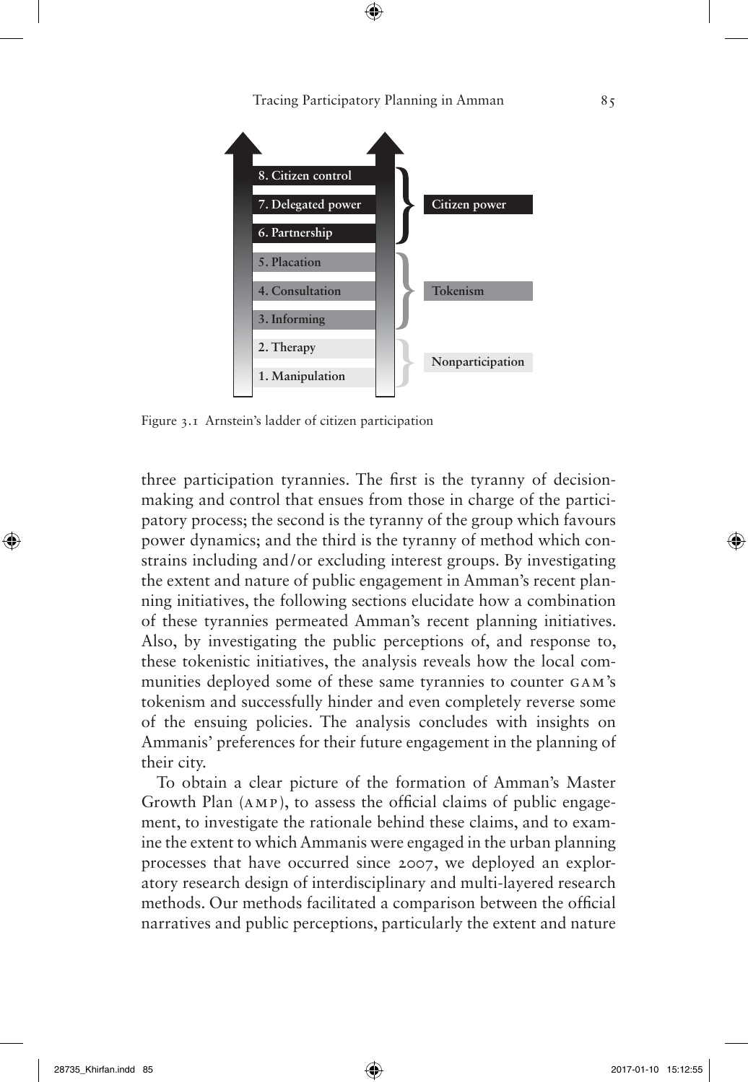$\bigoplus$ 



Figure 3.1 Arnstein's ladder of citizen participation

three participation tyrannies. The first is the tyranny of decisionmaking and control that ensues from those in charge of the participatory process; the second is the tyranny of the group which favours power dynamics; and the third is the tyranny of method which constrains including and/or excluding interest groups. By investigating the extent and nature of public engagement in Amman's recent planning initiatives, the following sections elucidate how a combination of these tyrannies permeated Amman's recent planning initiatives. Also, by investigating the public perceptions of, and response to, these tokenistic initiatives, the analysis reveals how the local communities deployed some of these same tyrannies to counter GAM's tokenism and successfully hinder and even completely reverse some of the ensuing policies. The analysis concludes with insights on Ammanis' preferences for their future engagement in the planning of their city.

To obtain a clear picture of the formation of Amman's Master Growth Plan (AMP), to assess the official claims of public engagement, to investigate the rationale behind these claims, and to examine the extent to which Ammanis were engaged in the urban planning processes that have occurred since 2007, we deployed an exploratory research design of interdisciplinary and multi-layered research methods. Our methods facilitated a comparison between the official narratives and public perceptions, particularly the extent and nature

⊕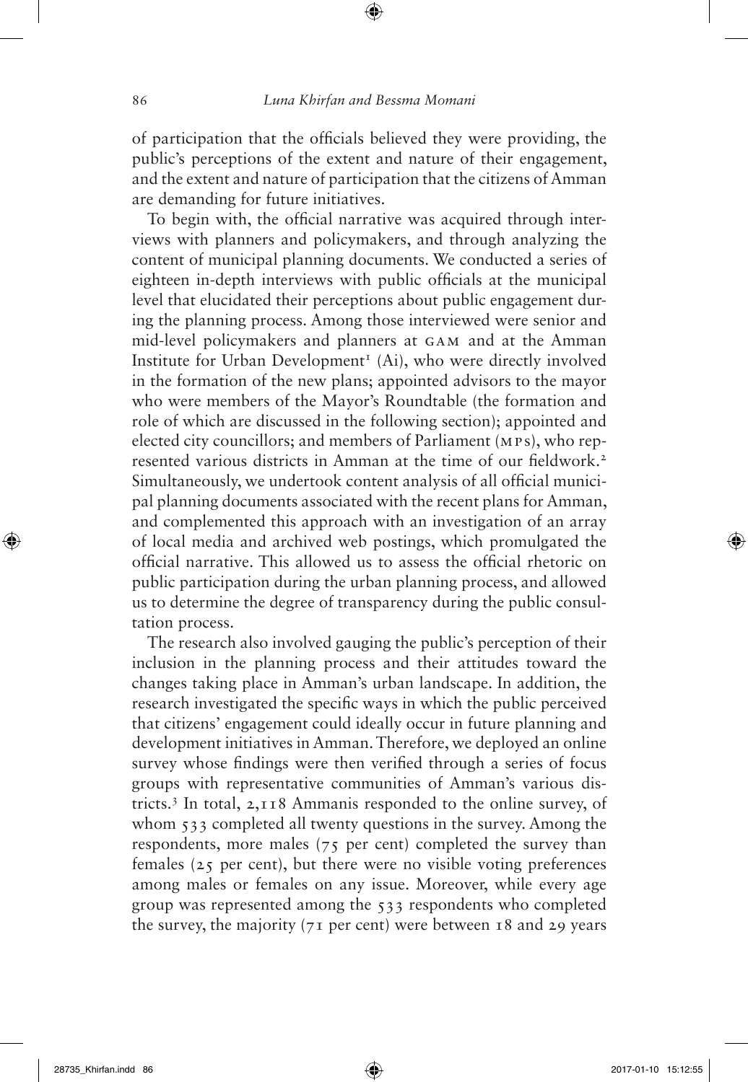of participation that the officials believed they were providing, the public's perceptions of the extent and nature of their engagement, and the extent and nature of participation that the citizens of Amman are demanding for future initiatives.

To begin with, the official narrative was acquired through interviews with planners and policymakers, and through analyzing the content of municipal planning documents. We conducted a series of eighteen in-depth interviews with public officials at the municipal level that elucidated their perceptions about public engagement during the planning process. Among those interviewed were senior and mid-level policymakers and planners at GAM and at the Amman Institute for Urban Development<sup>1</sup> (Ai), who were directly involved in the formation of the new plans; appointed advisors to the mayor who were members of the Mayor's Roundtable (the formation and role of which are discussed in the following section); appointed and elected city councillors; and members of Parliament (MPs), who represented various districts in Amman at the time of our fieldwork.2 Simultaneously, we undertook content analysis of all official municipal planning documents associated with the recent plans for Amman, and complemented this approach with an investigation of an array of local media and archived web postings, which promulgated the official narrative. This allowed us to assess the official rhetoric on public participation during the urban planning process, and allowed us to determine the degree of transparency during the public consultation process.

The research also involved gauging the public's perception of their inclusion in the planning process and their attitudes toward the changes taking place in Amman's urban landscape. In addition, the research investigated the specific ways in which the public perceived that citizens' engagement could ideally occur in future planning and development initiatives in Amman. Therefore, we deployed an online survey whose findings were then verified through a series of focus groups with representative communities of Amman's various districts.3 In total, 2,118 Ammanis responded to the online survey, of whom 533 completed all twenty questions in the survey. Among the respondents, more males (75 per cent) completed the survey than females (25 per cent), but there were no visible voting preferences among males or females on any issue. Moreover, while every age group was represented among the 533 respondents who completed the survey, the majority ( $71$  per cent) were between 18 and 29 years

⊕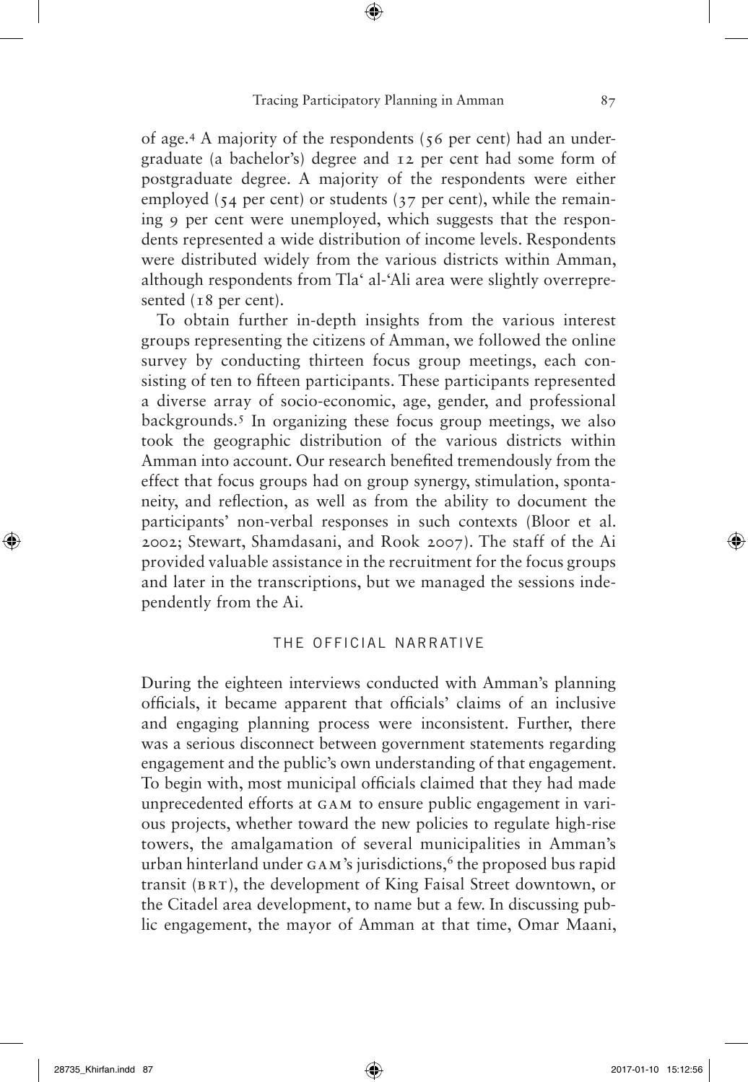⊕

of age.4 A majority of the respondents (56 per cent) had an undergraduate (a bachelor's) degree and 12 per cent had some form of postgraduate degree. A majority of the respondents were either employed ( $54$  per cent) or students ( $37$  per cent), while the remaining 9 per cent were unemployed, which suggests that the respondents represented a wide distribution of income levels. Respondents were distributed widely from the various districts within Amman, although respondents from Tla' al-'Ali area were slightly overrepresented (18 per cent).

To obtain further in-depth insights from the various interest groups representing the citizens of Amman, we followed the online survey by conducting thirteen focus group meetings, each consisting of ten to fifteen participants. These participants represented a diverse array of socio-economic, age, gender, and professional backgrounds.5 In organizing these focus group meetings, we also took the geographic distribution of the various districts within Amman into account. Our research benefited tremendously from the effect that focus groups had on group synergy, stimulation, spontaneity, and reflection, as well as from the ability to document the participants' non-verbal responses in such contexts (Bloor et al. 2002; Stewart, Shamdasani, and Rook 2007). The staff of the Ai provided valuable assistance in the recruitment for the focus groups and later in the transcriptions, but we managed the sessions independently from the Ai.

## the official narrative

During the eighteen interviews conducted with Amman's planning officials, it became apparent that officials' claims of an inclusive and engaging planning process were inconsistent. Further, there was a serious disconnect between government statements regarding engagement and the public's own understanding of that engagement. To begin with, most municipal officials claimed that they had made unprecedented efforts at GAM to ensure public engagement in various projects, whether toward the new policies to regulate high-rise towers, the amalgamation of several municipalities in Amman's urban hinterland under  $GAM$ 's jurisdictions,  $6$  the proposed bus rapid transit (BRT), the development of King Faisal Street downtown, or the Citadel area development, to name but a few. In discussing public engagement, the mayor of Amman at that time, Omar Maani,

⊕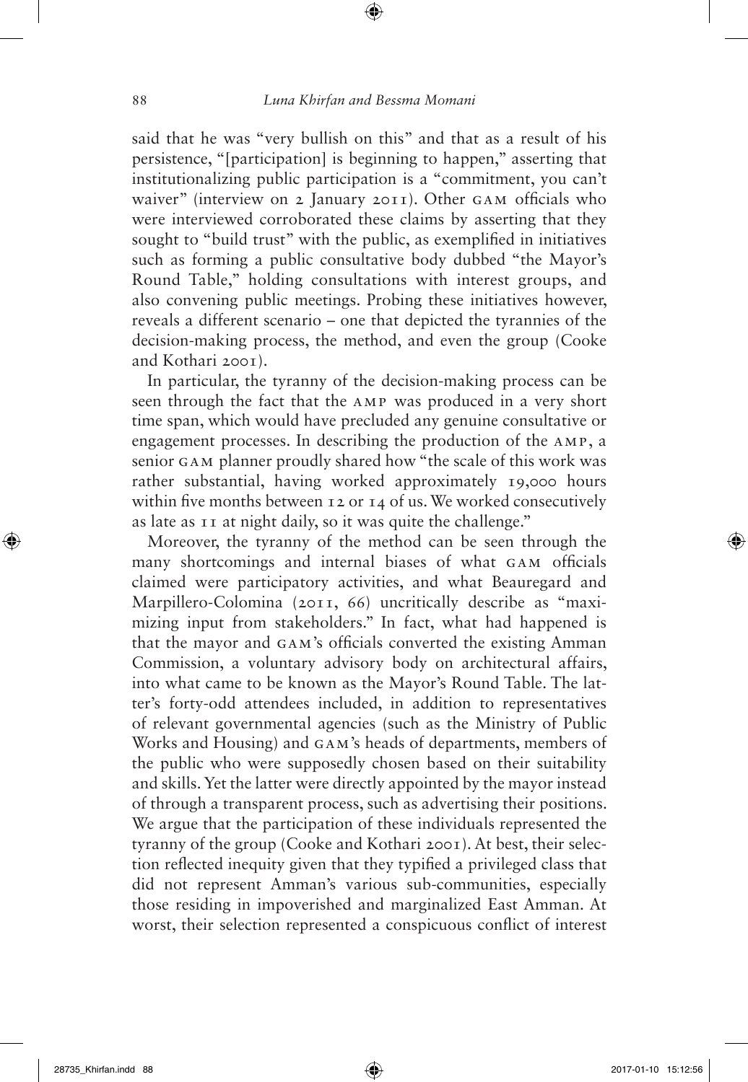said that he was "very bullish on this" and that as a result of his persistence, "[participation] is beginning to happen," asserting that institutionalizing public participation is a "commitment, you can't waiver" (interview on 2 January 2011). Other GAM officials who were interviewed corroborated these claims by asserting that they sought to "build trust" with the public, as exemplified in initiatives such as forming a public consultative body dubbed "the Mayor's Round Table," holding consultations with interest groups, and also convening public meetings. Probing these initiatives however, reveals a different scenario – one that depicted the tyrannies of the decision-making process, the method, and even the group (Cooke and Kothari 2001).

In particular, the tyranny of the decision-making process can be seen through the fact that the AMP was produced in a very short time span, which would have precluded any genuine consultative or engagement processes. In describing the production of the AMP, a senior GAM planner proudly shared how "the scale of this work was rather substantial, having worked approximately 19,000 hours within five months between 12 or 14 of us. We worked consecutively as late as 11 at night daily, so it was quite the challenge."

Moreover, the tyranny of the method can be seen through the many shortcomings and internal biases of what GAM officials claimed were participatory activities, and what Beauregard and Marpillero-Colomina (2011, 66) uncritically describe as "maximizing input from stakeholders." In fact, what had happened is that the mayor and GAM's officials converted the existing Amman Commission, a voluntary advisory body on architectural affairs, into what came to be known as the Mayor's Round Table. The latter's forty-odd attendees included, in addition to representatives of relevant governmental agencies (such as the Ministry of Public Works and Housing) and GAM's heads of departments, members of the public who were supposedly chosen based on their suitability and skills. Yet the latter were directly appointed by the mayor instead of through a transparent process, such as advertising their positions. We argue that the participation of these individuals represented the tyranny of the group (Cooke and Kothari 2001). At best, their selection reflected inequity given that they typified a privileged class that did not represent Amman's various sub-communities, especially those residing in impoverished and marginalized East Amman. At worst, their selection represented a conspicuous conflict of interest

⊕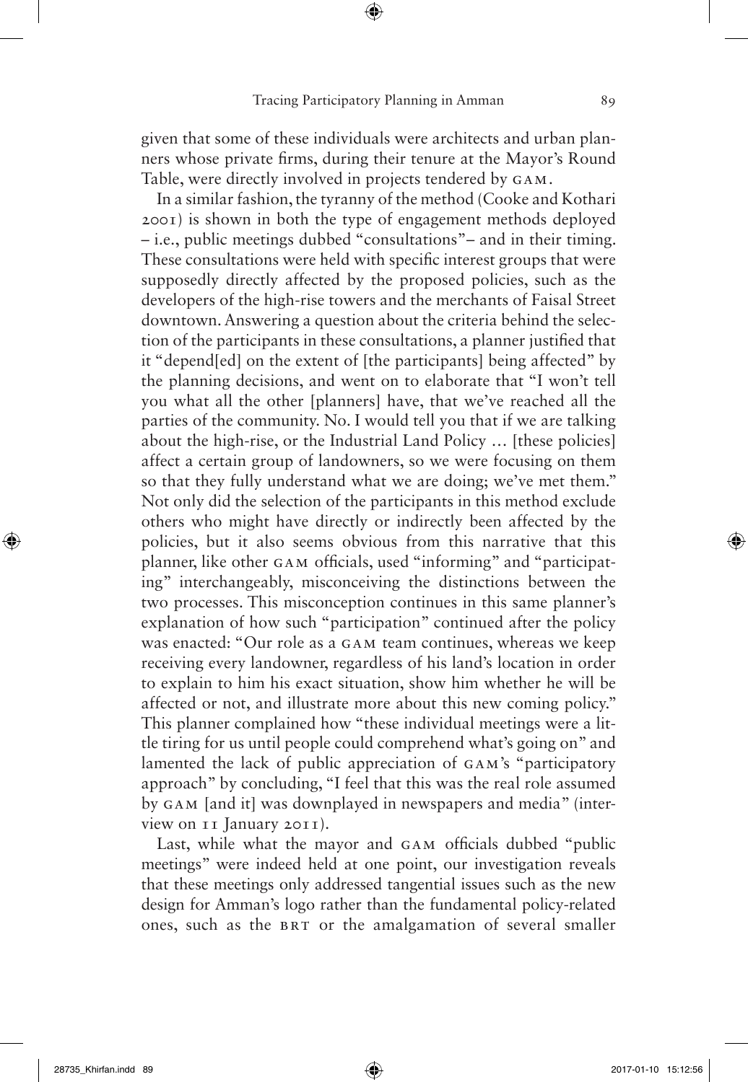⊕

given that some of these individuals were architects and urban planners whose private firms, during their tenure at the Mayor's Round Table, were directly involved in projects tendered by GAM.

In a similar fashion, the tyranny of the method (Cooke and Kothari 2001) is shown in both the type of engagement methods deployed – i.e., public meetings dubbed "consultations"– and in their timing. These consultations were held with specific interest groups that were supposedly directly affected by the proposed policies, such as the developers of the high-rise towers and the merchants of Faisal Street downtown. Answering a question about the criteria behind the selection of the participants in these consultations, a planner justified that it "depend[ed] on the extent of [the participants] being affected" by the planning decisions, and went on to elaborate that "I won't tell you what all the other [planners] have, that we've reached all the parties of the community. No. I would tell you that if we are talking about the high-rise, or the Industrial Land Policy … [these policies] affect a certain group of landowners, so we were focusing on them so that they fully understand what we are doing; we've met them." Not only did the selection of the participants in this method exclude others who might have directly or indirectly been affected by the policies, but it also seems obvious from this narrative that this planner, like other GAM officials, used "informing" and "participating" interchangeably, misconceiving the distinctions between the two processes. This misconception continues in this same planner's explanation of how such "participation" continued after the policy was enacted: "Our role as a GAM team continues, whereas we keep receiving every landowner, regardless of his land's location in order to explain to him his exact situation, show him whether he will be affected or not, and illustrate more about this new coming policy." This planner complained how "these individual meetings were a little tiring for us until people could comprehend what's going on" and lamented the lack of public appreciation of GAM's "participatory approach" by concluding, "I feel that this was the real role assumed by GAM [and it] was downplayed in newspapers and media" (interview on 11 January 2011).

Last, while what the mayor and GAM officials dubbed "public meetings" were indeed held at one point, our investigation reveals that these meetings only addressed tangential issues such as the new design for Amman's logo rather than the fundamental policy-related ones, such as the BRT or the amalgamation of several smaller

⊕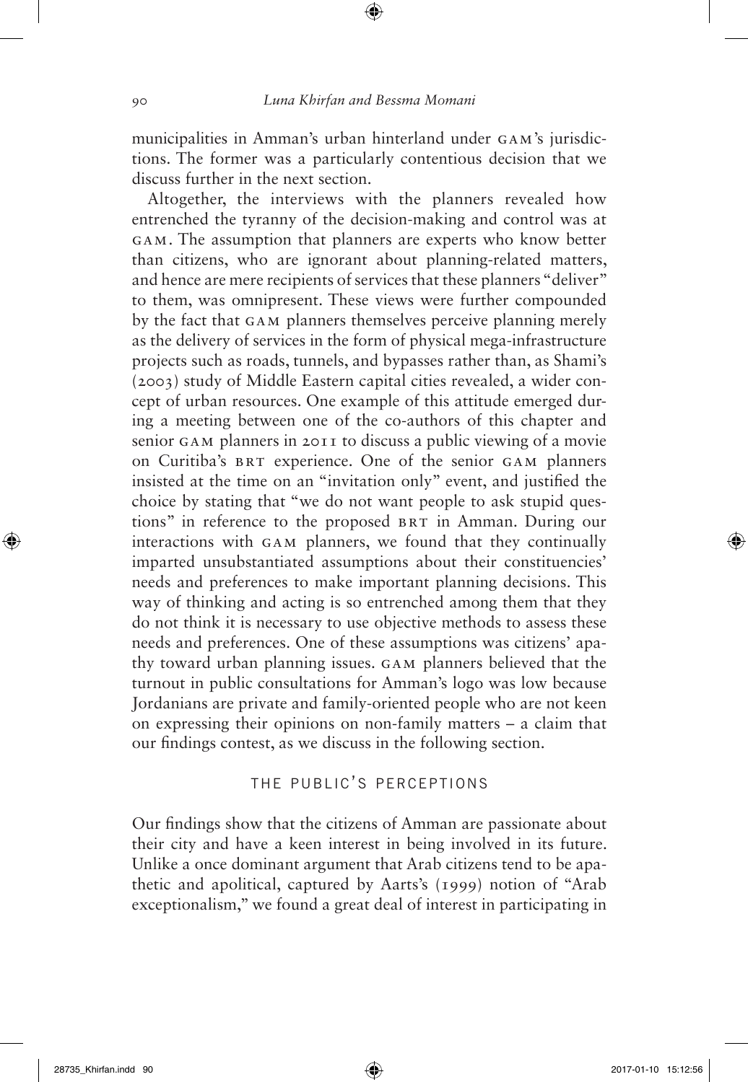municipalities in Amman's urban hinterland under GAM's jurisdictions. The former was a particularly contentious decision that we discuss further in the next section.

Altogether, the interviews with the planners revealed how entrenched the tyranny of the decision-making and control was at GAM. The assumption that planners are experts who know better than citizens, who are ignorant about planning-related matters, and hence are mere recipients of services that these planners "deliver" to them, was omnipresent. These views were further compounded by the fact that GAM planners themselves perceive planning merely as the delivery of services in the form of physical mega-infrastructure projects such as roads, tunnels, and bypasses rather than, as Shami's (2003) study of Middle Eastern capital cities revealed, a wider concept of urban resources. One example of this attitude emerged during a meeting between one of the co-authors of this chapter and senior GAM planners in 2011 to discuss a public viewing of a movie on Curitiba's BRT experience. One of the senior GAM planners insisted at the time on an "invitation only" event, and justified the choice by stating that "we do not want people to ask stupid questions" in reference to the proposed BRT in Amman. During our interactions with GAM planners, we found that they continually imparted unsubstantiated assumptions about their constituencies' needs and preferences to make important planning decisions. This way of thinking and acting is so entrenched among them that they do not think it is necessary to use objective methods to assess these needs and preferences. One of these assumptions was citizens' apathy toward urban planning issues. GAM planners believed that the turnout in public consultations for Amman's logo was low because Jordanians are private and family-oriented people who are not keen on expressing their opinions on non-family matters – a claim that our findings contest, as we discuss in the following section.

## the public's perceptions

Our findings show that the citizens of Amman are passionate about their city and have a keen interest in being involved in its future. Unlike a once dominant argument that Arab citizens tend to be apathetic and apolitical, captured by Aarts's (1999) notion of "Arab exceptionalism," we found a great deal of interest in participating in

⊕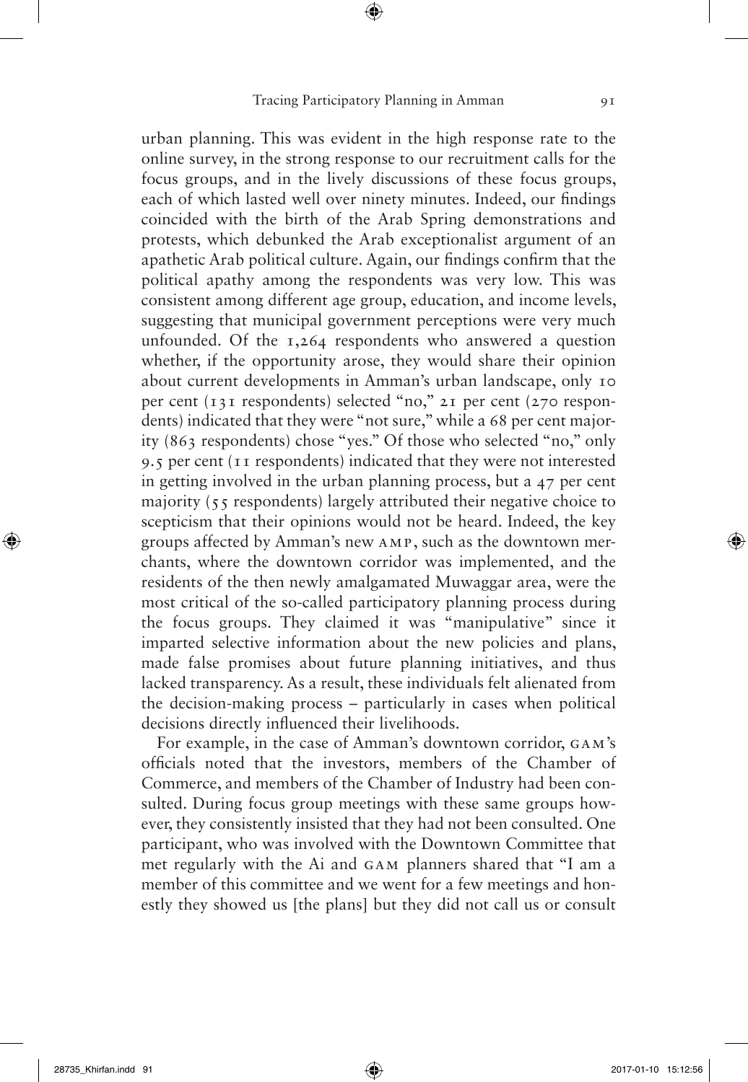⊕

urban planning. This was evident in the high response rate to the online survey, in the strong response to our recruitment calls for the focus groups, and in the lively discussions of these focus groups, each of which lasted well over ninety minutes. Indeed, our findings coincided with the birth of the Arab Spring demonstrations and protests, which debunked the Arab exceptionalist argument of an apathetic Arab political culture. Again, our findings confirm that the political apathy among the respondents was very low. This was consistent among different age group, education, and income levels, suggesting that municipal government perceptions were very much unfounded. Of the 1,264 respondents who answered a question whether, if the opportunity arose, they would share their opinion about current developments in Amman's urban landscape, only 10 per cent (131 respondents) selected "no," 21 per cent (270 respondents) indicated that they were "not sure," while a 68 per cent majority (863 respondents) chose "yes." Of those who selected "no," only 9.5 per cent (11 respondents) indicated that they were not interested in getting involved in the urban planning process, but a 47 per cent majority (55 respondents) largely attributed their negative choice to scepticism that their opinions would not be heard. Indeed, the key groups affected by Amman's new AMP, such as the downtown merchants, where the downtown corridor was implemented, and the residents of the then newly amalgamated Muwaggar area, were the most critical of the so-called participatory planning process during the focus groups. They claimed it was "manipulative" since it imparted selective information about the new policies and plans, made false promises about future planning initiatives, and thus lacked transparency. As a result, these individuals felt alienated from the decision-making process – particularly in cases when political decisions directly influenced their livelihoods.

For example, in the case of Amman's downtown corridor, GAM's officials noted that the investors, members of the Chamber of Commerce, and members of the Chamber of Industry had been consulted. During focus group meetings with these same groups however, they consistently insisted that they had not been consulted. One participant, who was involved with the Downtown Committee that met regularly with the Ai and GAM planners shared that "I am a member of this committee and we went for a few meetings and honestly they showed us [the plans] but they did not call us or consult

⊕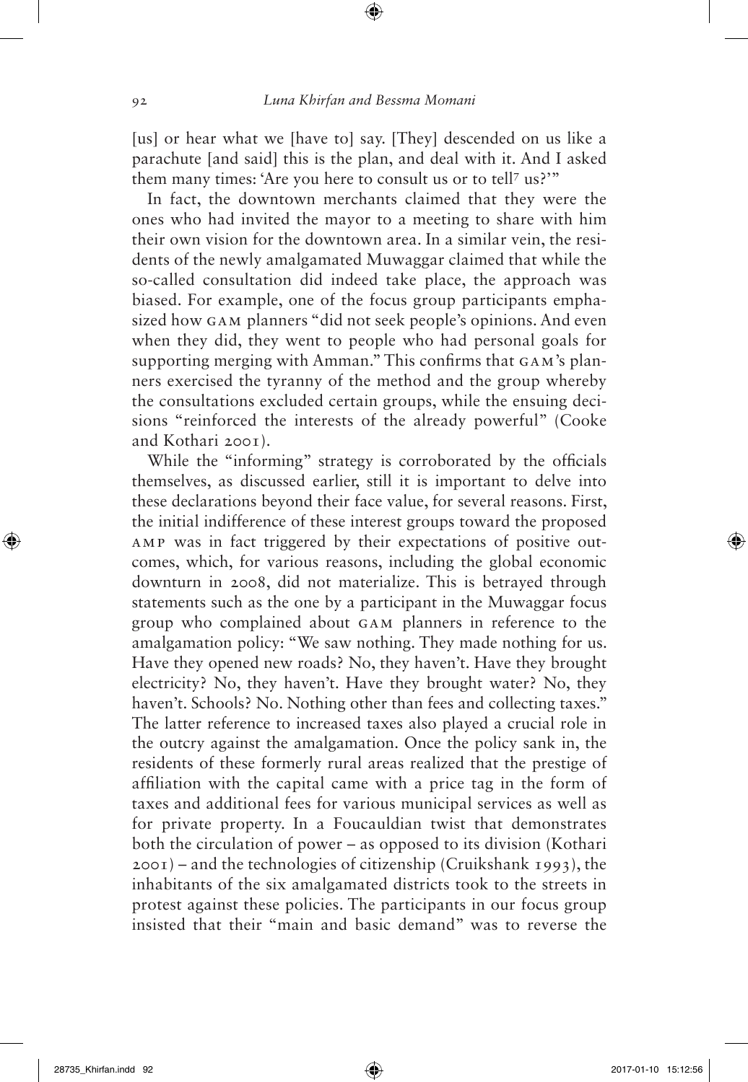[us] or hear what we [have to] say. [They] descended on us like a parachute [and said] this is the plan, and deal with it. And I asked them many times: 'Are you here to consult us or to tell? us?'"

In fact, the downtown merchants claimed that they were the ones who had invited the mayor to a meeting to share with him their own vision for the downtown area. In a similar vein, the residents of the newly amalgamated Muwaggar claimed that while the so-called consultation did indeed take place, the approach was biased. For example, one of the focus group participants emphasized how GAM planners "did not seek people's opinions. And even when they did, they went to people who had personal goals for supporting merging with Amman." This confirms that GAM's planners exercised the tyranny of the method and the group whereby the consultations excluded certain groups, while the ensuing decisions "reinforced the interests of the already powerful" (Cooke and Kothari 2001).

While the "informing" strategy is corroborated by the officials themselves, as discussed earlier, still it is important to delve into these declarations beyond their face value, for several reasons. First, the initial indifference of these interest groups toward the proposed AMP was in fact triggered by their expectations of positive outcomes, which, for various reasons, including the global economic downturn in 2008, did not materialize. This is betrayed through statements such as the one by a participant in the Muwaggar focus group who complained about GAM planners in reference to the amalgamation policy: "We saw nothing. They made nothing for us. Have they opened new roads? No, they haven't. Have they brought electricity? No, they haven't. Have they brought water? No, they haven't. Schools? No. Nothing other than fees and collecting taxes." The latter reference to increased taxes also played a crucial role in the outcry against the amalgamation. Once the policy sank in, the residents of these formerly rural areas realized that the prestige of affiliation with the capital came with a price tag in the form of taxes and additional fees for various municipal services as well as for private property. In a Foucauldian twist that demonstrates both the circulation of power – as opposed to its division (Kothari  $2001$  – and the technologies of citizenship (Cruikshank 1993), the inhabitants of the six amalgamated districts took to the streets in protest against these policies. The participants in our focus group insisted that their "main and basic demand" was to reverse the

⊕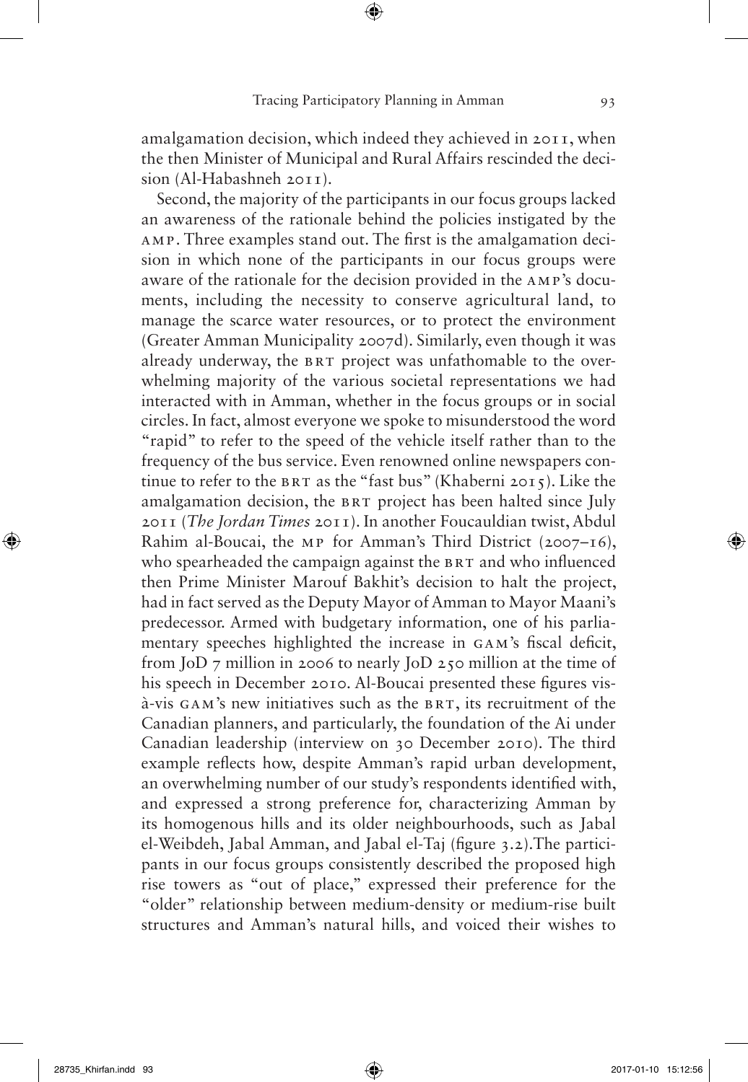amalgamation decision, which indeed they achieved in 2011, when the then Minister of Municipal and Rural Affairs rescinded the decision (Al-Habashneh 2011).

Second, the majority of the participants in our focus groups lacked an awareness of the rationale behind the policies instigated by the AMP. Three examples stand out. The first is the amalgamation decision in which none of the participants in our focus groups were aware of the rationale for the decision provided in the AMP's documents, including the necessity to conserve agricultural land, to manage the scarce water resources, or to protect the environment (Greater Amman Municipality 2007d). Similarly, even though it was already underway, the BRT project was unfathomable to the overwhelming majority of the various societal representations we had interacted with in Amman, whether in the focus groups or in social circles. In fact, almost everyone we spoke to misunderstood the word "rapid" to refer to the speed of the vehicle itself rather than to the frequency of the bus service. Even renowned online newspapers continue to refer to the BRT as the "fast bus" (Khaberni 2015). Like the amalgamation decision, the BRT project has been halted since July 2011 (*The Jordan Times* 2011). In another Foucauldian twist, Abdul Rahim al-Boucai, the MP for Amman's Third District (2007–16), who spearheaded the campaign against the BRT and who influenced then Prime Minister Marouf Bakhit's decision to halt the project, had in fact served as the Deputy Mayor of Amman to Mayor Maani's predecessor. Armed with budgetary information, one of his parliamentary speeches highlighted the increase in GAM's fiscal deficit, from JoD 7 million in 2006 to nearly JoD 250 million at the time of his speech in December 2010. Al-Boucai presented these figures visà-vis GAM's new initiatives such as the BRT, its recruitment of the Canadian planners, and particularly, the foundation of the Ai under Canadian leadership (interview on 30 December 2010). The third example reflects how, despite Amman's rapid urban development, an overwhelming number of our study's respondents identified with, and expressed a strong preference for, characterizing Amman by its homogenous hills and its older neighbourhoods, such as Jabal el-Weibdeh, Jabal Amman, and Jabal el-Taj (figure 3.2).The participants in our focus groups consistently described the proposed high rise towers as "out of place," expressed their preference for the "older" relationship between medium-density or medium-rise built structures and Amman's natural hills, and voiced their wishes to

⊕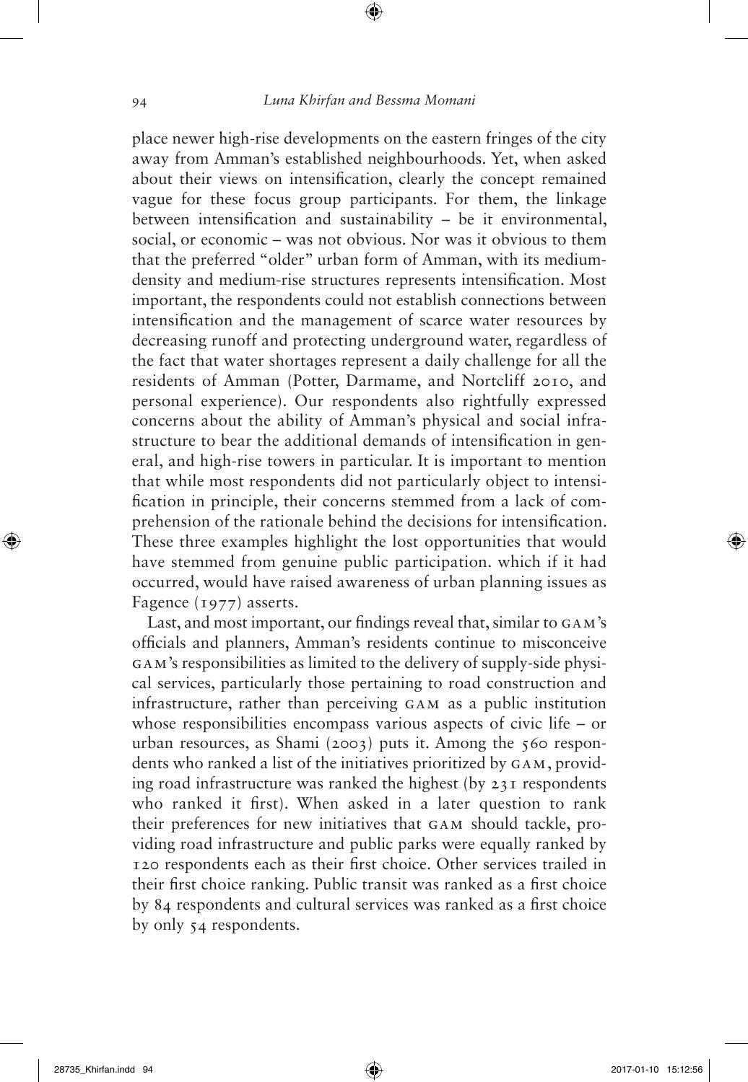## 94 *Luna Khirfan and Bessma Momani*

⊕

place newer high-rise developments on the eastern fringes of the city away from Amman's established neighbourhoods. Yet, when asked about their views on intensification, clearly the concept remained vague for these focus group participants. For them, the linkage between intensification and sustainability – be it environmental, social, or economic – was not obvious. Nor was it obvious to them that the preferred "older" urban form of Amman, with its mediumdensity and medium-rise structures represents intensification. Most important, the respondents could not establish connections between intensification and the management of scarce water resources by decreasing runoff and protecting underground water, regardless of the fact that water shortages represent a daily challenge for all the residents of Amman (Potter, Darmame, and Nortcliff 2010, and personal experience). Our respondents also rightfully expressed concerns about the ability of Amman's physical and social infrastructure to bear the additional demands of intensification in general, and high-rise towers in particular. It is important to mention that while most respondents did not particularly object to intensification in principle, their concerns stemmed from a lack of comprehension of the rationale behind the decisions for intensification. These three examples highlight the lost opportunities that would have stemmed from genuine public participation. which if it had occurred, would have raised awareness of urban planning issues as Fagence (1977) asserts.

Last, and most important, our findings reveal that, similar to GAM's officials and planners, Amman's residents continue to misconceive GAM's responsibilities as limited to the delivery of supply-side physical services, particularly those pertaining to road construction and infrastructure, rather than perceiving GAM as a public institution whose responsibilities encompass various aspects of civic life – or urban resources, as Shami (2003) puts it. Among the 560 respondents who ranked a list of the initiatives prioritized by GAM, providing road infrastructure was ranked the highest (by 231 respondents who ranked it first). When asked in a later question to rank their preferences for new initiatives that GAM should tackle, providing road infrastructure and public parks were equally ranked by 120 respondents each as their first choice. Other services trailed in their first choice ranking. Public transit was ranked as a first choice by 84 respondents and cultural services was ranked as a first choice by only 54 respondents.

⊕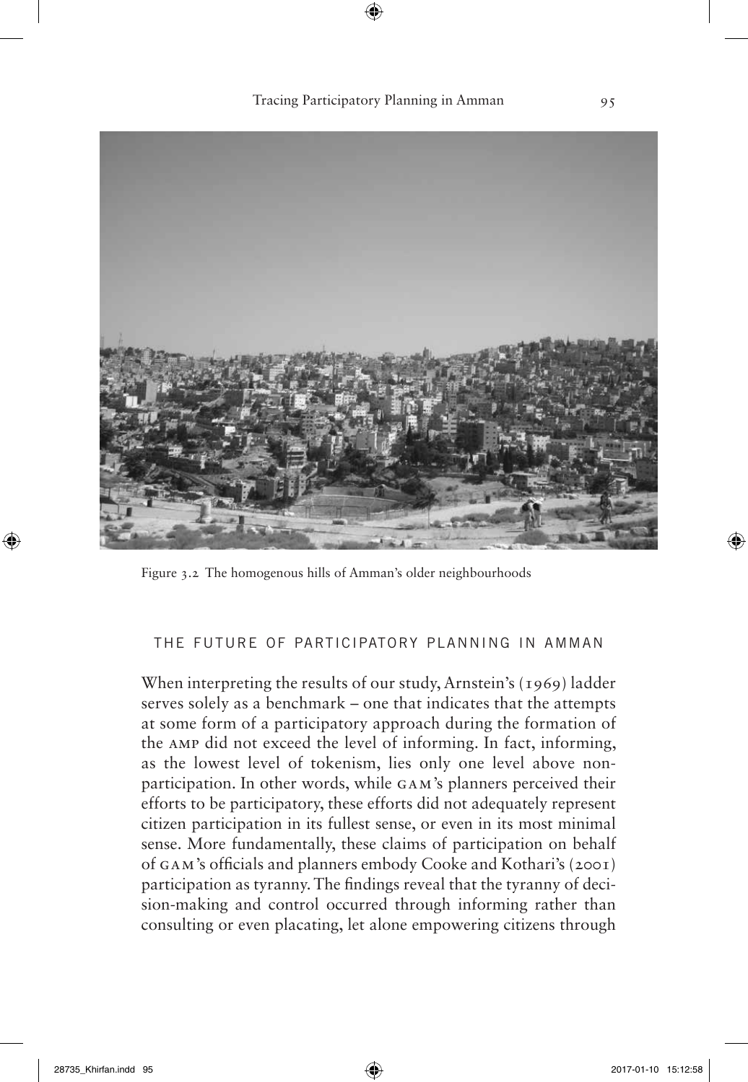Tracing Participatory Planning in Amman 95



Figure 3.2 The homogenous hills of Amman's older neighbourhoods

## the future of participatory planning in amman

When interpreting the results of our study, Arnstein's (1969) ladder serves solely as a benchmark – one that indicates that the attempts at some form of a participatory approach during the formation of the AMP did not exceed the level of informing. In fact, informing, as the lowest level of tokenism, lies only one level above nonparticipation. In other words, while GAM's planners perceived their efforts to be participatory, these efforts did not adequately represent citizen participation in its fullest sense, or even in its most minimal sense. More fundamentally, these claims of participation on behalf of GAM's officials and planners embody Cooke and Kothari's (2001) participation as tyranny. The findings reveal that the tyranny of decision-making and control occurred through informing rather than consulting or even placating, let alone empowering citizens through

⊕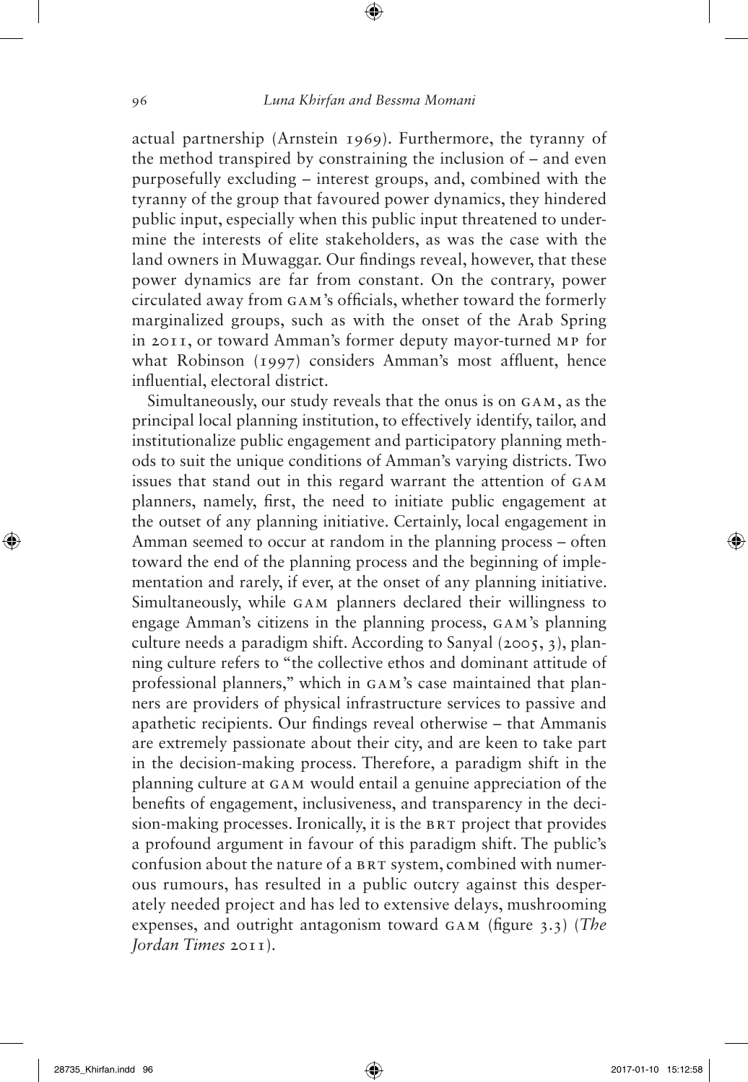actual partnership (Arnstein 1969). Furthermore, the tyranny of the method transpired by constraining the inclusion of – and even purposefully excluding – interest groups, and, combined with the tyranny of the group that favoured power dynamics, they hindered public input, especially when this public input threatened to undermine the interests of elite stakeholders, as was the case with the land owners in Muwaggar. Our findings reveal, however, that these power dynamics are far from constant. On the contrary, power circulated away from GAM's officials, whether toward the formerly marginalized groups, such as with the onset of the Arab Spring in 2011, or toward Amman's former deputy mayor-turned MP for what Robinson (1997) considers Amman's most affluent, hence influential, electoral district.

Simultaneously, our study reveals that the onus is on GAM, as the principal local planning institution, to effectively identify, tailor, and institutionalize public engagement and participatory planning methods to suit the unique conditions of Amman's varying districts. Two issues that stand out in this regard warrant the attention of GAM planners, namely, first, the need to initiate public engagement at the outset of any planning initiative. Certainly, local engagement in Amman seemed to occur at random in the planning process – often toward the end of the planning process and the beginning of implementation and rarely, if ever, at the onset of any planning initiative. Simultaneously, while GAM planners declared their willingness to engage Amman's citizens in the planning process, GAM's planning culture needs a paradigm shift. According to Sanyal (2005, 3), planning culture refers to "the collective ethos and dominant attitude of professional planners," which in GAM's case maintained that planners are providers of physical infrastructure services to passive and apathetic recipients. Our findings reveal otherwise – that Ammanis are extremely passionate about their city, and are keen to take part in the decision-making process. Therefore, a paradigm shift in the planning culture at GAM would entail a genuine appreciation of the benefits of engagement, inclusiveness, and transparency in the decision-making processes. Ironically, it is the BRT project that provides a profound argument in favour of this paradigm shift. The public's confusion about the nature of a BRT system, combined with numerous rumours, has resulted in a public outcry against this desperately needed project and has led to extensive delays, mushrooming expenses, and outright antagonism toward GAM (figure 3.3) (*The Jordan Times* 2011).

⊕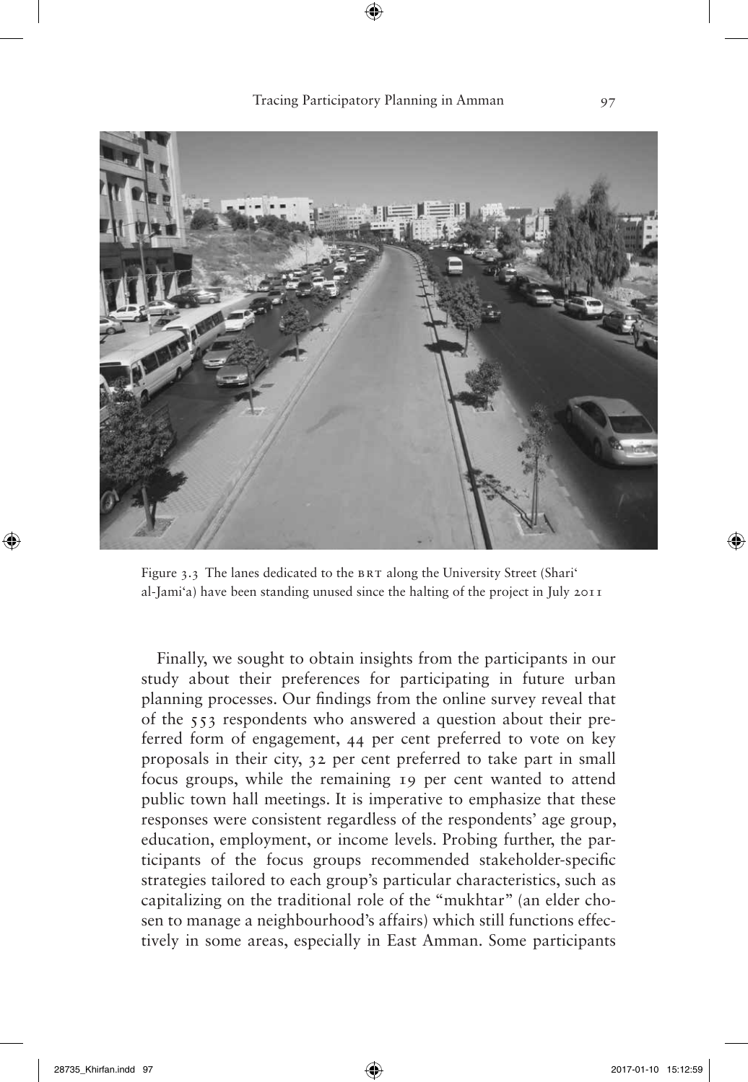

Figure 3.3 The lanes dedicated to the BRT along the University Street (Shari' al-Jami'a) have been standing unused since the halting of the project in July 2011

Finally, we sought to obtain insights from the participants in our study about their preferences for participating in future urban planning processes. Our findings from the online survey reveal that of the 553 respondents who answered a question about their preferred form of engagement, 44 per cent preferred to vote on key proposals in their city, 32 per cent preferred to take part in small focus groups, while the remaining 19 per cent wanted to attend public town hall meetings. It is imperative to emphasize that these responses were consistent regardless of the respondents' age group, education, employment, or income levels. Probing further, the participants of the focus groups recommended stakeholder-specific strategies tailored to each group's particular characteristics, such as capitalizing on the traditional role of the "mukhtar" (an elder chosen to manage a neighbourhood's affairs) which still functions effectively in some areas, especially in East Amman. Some participants

⊕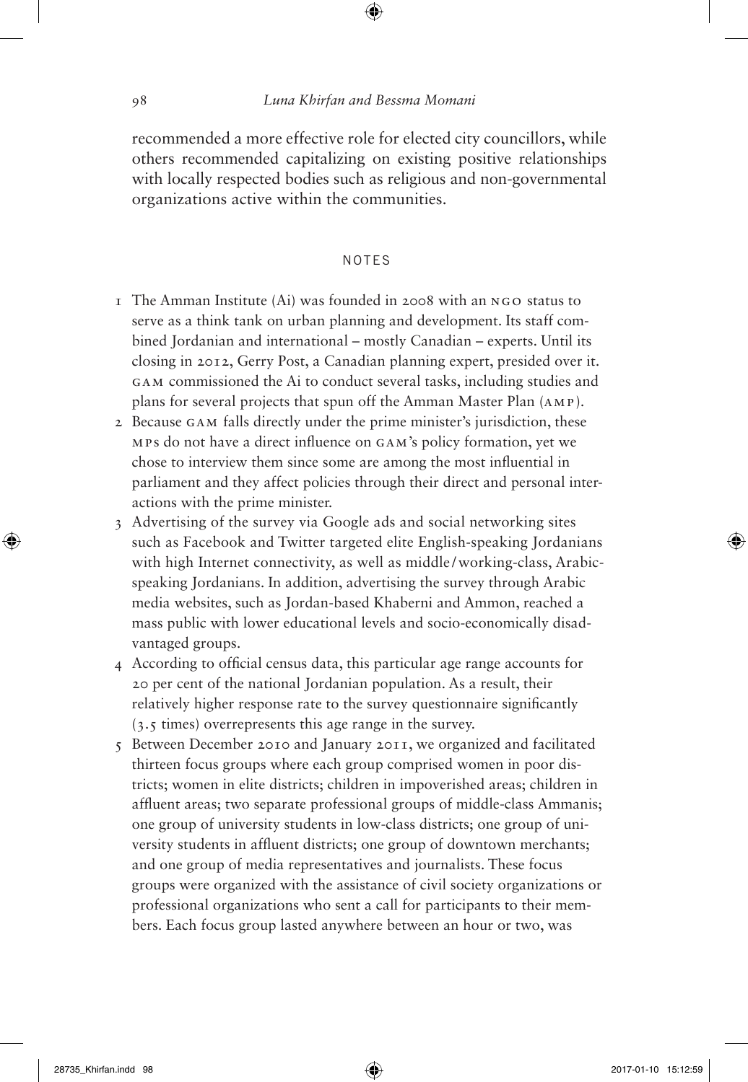## 98 *Luna Khirfan and Bessma Momani*

⊕

recommended a more effective role for elected city councillors, while others recommended capitalizing on existing positive relationships with locally respected bodies such as religious and non-governmental organizations active within the communities.

## notes

- 1 The Amman Institute (Ai) was founded in 2008 with an NGO status to serve as a think tank on urban planning and development. Its staff combined Jordanian and international – mostly Canadian – experts. Until its closing in 2012, Gerry Post, a Canadian planning expert, presided over it. GAM commissioned the Ai to conduct several tasks, including studies and plans for several projects that spun off the Amman Master Plan (AMP).
- 2 Because GAM falls directly under the prime minister's jurisdiction, these MPs do not have a direct influence on GAM's policy formation, yet we chose to interview them since some are among the most influential in parliament and they affect policies through their direct and personal interactions with the prime minister.
- 3 Advertising of the survey via Google ads and social networking sites such as Facebook and Twitter targeted elite English-speaking Jordanians with high Internet connectivity, as well as middle/working-class, Arabicspeaking Jordanians. In addition, advertising the survey through Arabic media websites, such as Jordan-based Khaberni and Ammon, reached a mass public with lower educational levels and socio-economically disadvantaged groups.
- 4 According to official census data, this particular age range accounts for 20 per cent of the national Jordanian population. As a result, their relatively higher response rate to the survey questionnaire significantly (3.5 times) overrepresents this age range in the survey.
- 5 Between December 2010 and January 2011, we organized and facilitated thirteen focus groups where each group comprised women in poor districts; women in elite districts; children in impoverished areas; children in affluent areas; two separate professional groups of middle-class Ammanis; one group of university students in low-class districts; one group of university students in affluent districts; one group of downtown merchants; and one group of media representatives and journalists. These focus groups were organized with the assistance of civil society organizations or professional organizations who sent a call for participants to their members. Each focus group lasted anywhere between an hour or two, was

⊕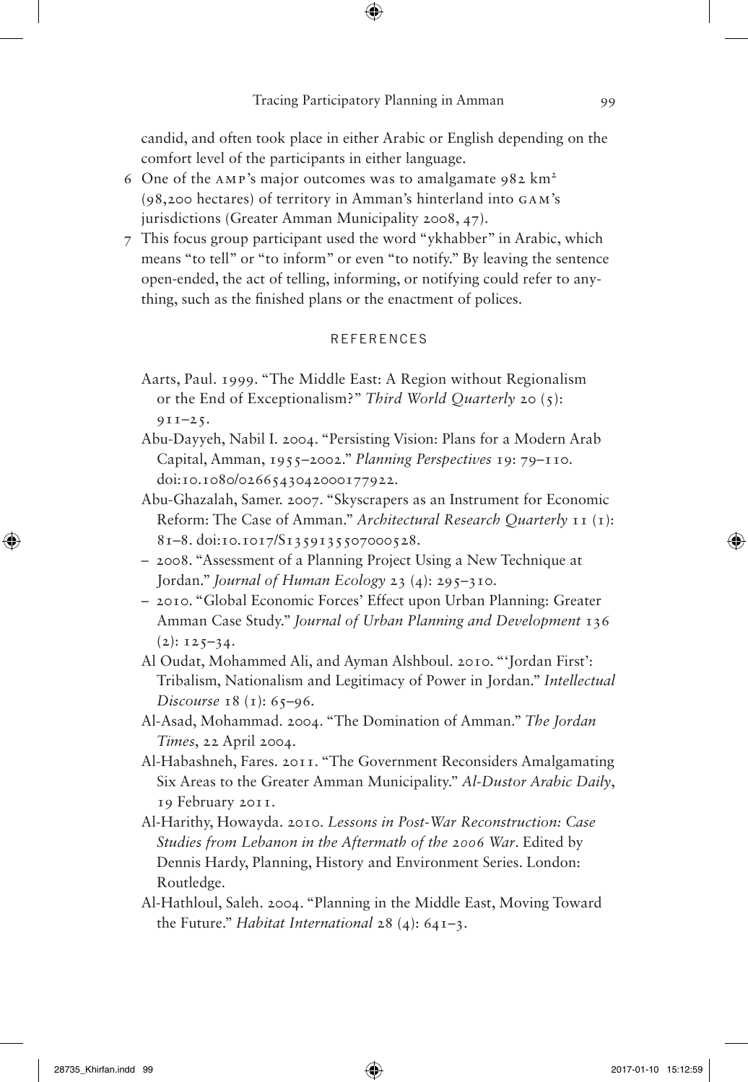⊕

candid, and often took place in either Arabic or English depending on the comfort level of the participants in either language.

- 6 One of the AMP's major outcomes was to amalgamate  $982 \text{ km}^2$ (98,200 hectares) of territory in Amman's hinterland into GAM's jurisdictions (Greater Amman Municipality 2008, 47).
- 7 This focus group participant used the word "ykhabber" in Arabic, which means "to tell" or "to inform" or even "to notify." By leaving the sentence open-ended, the act of telling, informing, or notifying could refer to anything, such as the finished plans or the enactment of polices.

### **REFERENCES**

- Aarts, Paul. 1999. "The Middle East: A Region without Regionalism or the End of Exceptionalism?" *Third World Quarterly* 20 (5):  $9I1-25.$
- Abu-Dayyeh, Nabil I. 2004. "Persisting Vision: Plans for a Modern Arab Capital, Amman, 1955–2002." *Planning Perspectives* 19: 79–110. doi:10.1080/0266543042000177922.
- Abu-Ghazalah, Samer. 2007. "Skyscrapers as an Instrument for Economic Reform: The Case of Amman." *Architectural Research Quarterly* 11 (1): 81–8. doi:10.1017/S1359135507000528.
- 2008. "Assessment of a Planning Project Using a New Technique at Jordan." *Journal of Human Ecology* 23 (4): 295–310.
- 2010. "Global Economic Forces' Effect upon Urban Planning: Greater Amman Case Study." *Journal of Urban Planning and Development* 136  $(2): 125-34.$
- Al Oudat, Mohammed Ali, and Ayman Alshboul. 2010. "'Jordan First': Tribalism, Nationalism and Legitimacy of Power in Jordan." *Intellectual Discourse* 18 (1): 65–96.
- Al-Asad, Mohammad. 2004. "The Domination of Amman." *The Jordan Times*, 22 April 2004.
- Al-Habashneh, Fares. 2011. "The Government Reconsiders Amalgamating Six Areas to the Greater Amman Municipality." *Al-Dustor Arabic Daily*, 19 February 2011.
- Al-Harithy, Howayda. 2010. *Lessons in Post-War Reconstruction: Case Studies from Lebanon in the Aftermath of the 2006 War*. Edited by Dennis Hardy, Planning, History and Environment Series. London: Routledge.
- Al-Hathloul, Saleh. 2004. "Planning in the Middle East, Moving Toward the Future." *Habitat International* 28 (4): 641–3.

⊕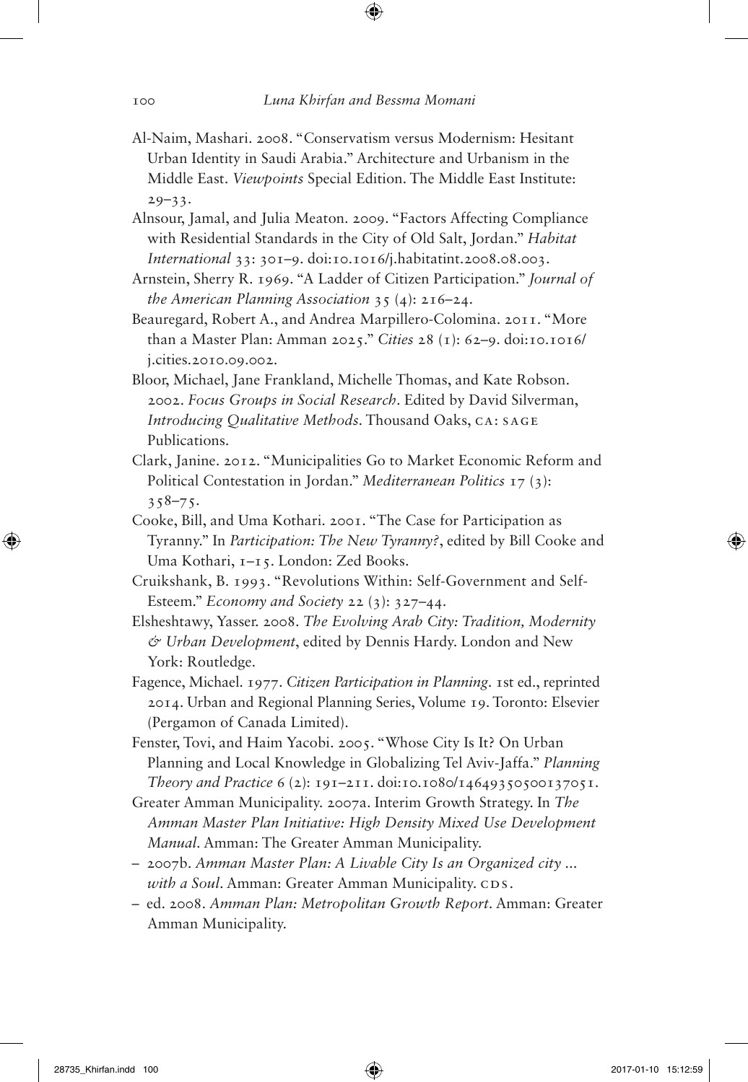- Al-Naim, Mashari. 2008. "Conservatism versus Modernism: Hesitant Urban Identity in Saudi Arabia." Architecture and Urbanism in the Middle East. *Viewpoints* Special Edition. The Middle East Institute:  $29 - 33.$
- Alnsour, Jamal, and Julia Meaton. 2009. "Factors Affecting Compliance with Residential Standards in the City of Old Salt, Jordan." *Habitat International* 33: 301–9. doi:10.1016/j.habitatint.2008.08.003.
- Arnstein, Sherry R. 1969. "A Ladder of Citizen Participation." *Journal of the American Planning Association* 35 (4): 216–24.
- Beauregard, Robert A., and Andrea Marpillero-Colomina. 2011. "More than a Master Plan: Amman 2025." *Cities* 28 (1): 62–9. doi:10.1016/ j.cities.2010.09.002.
- Bloor, Michael, Jane Frankland, Michelle Thomas, and Kate Robson. 2002. *Focus Groups in Social Research*. Edited by David Silverman, *Introducing Qualitative Methods*. Thousand Oaks, CA: SAGE Publications.
- Clark, Janine. 2012. "Municipalities Go to Market Economic Reform and Political Contestation in Jordan." *Mediterranean Politics* 17 (3):  $358 - 75$ .
- Cooke, Bill, and Uma Kothari. 2001. "The Case for Participation as Tyranny." In *Participation: The New Tyranny?*, edited by Bill Cooke and Uma Kothari, 1–15. London: Zed Books.
- Cruikshank, B. 1993. "Revolutions Within: Self-Government and Self-Esteem." *Economy and Society* 22 (3): 327–44.
- Elsheshtawy, Yasser. 2008. *The Evolving Arab City: Tradition, Modernity & Urban Development*, edited by Dennis Hardy. London and New York: Routledge.
- Fagence, Michael. 1977. *Citizen Participation in Planning*. 1st ed., reprinted 2014. Urban and Regional Planning Series, Volume 19. Toronto: Elsevier (Pergamon of Canada Limited).
- Fenster, Tovi, and Haim Yacobi. 2005. "Whose City Is It? On Urban Planning and Local Knowledge in Globalizing Tel Aviv-Jaffa." *Planning Theory and Practice* 6 (2): 191–211. doi:10.1080/14649350500137051.
- Greater Amman Municipality. 2007a. Interim Growth Strategy. In *The Amman Master Plan Initiative: High Density Mixed Use Development Manual*. Amman: The Greater Amman Municipality.
- 2007b. *Amman Master Plan: A Livable City Is an Organized city ... with a Soul*. Amman: Greater Amman Municipality. CDs.
- ed. 2008. *Amman Plan: Metropolitan Growth Report*. Amman: Greater Amman Municipality.

⊕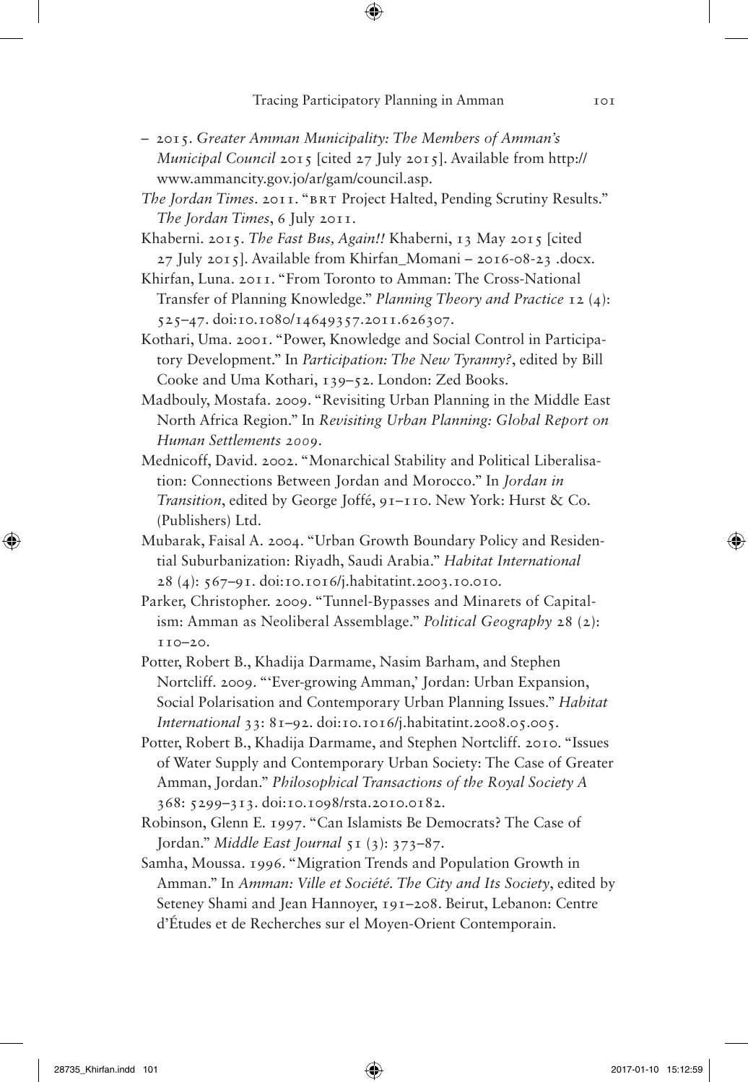⊕

- 2015. *Greater Amman Municipality: The Members of Amman's Municipal Council* 2015 [cited 27 July 2015]. Available from http:// www.ammancity.gov.jo/ar/gam/council.asp.
- *The Jordan Times*. 2011. "BRT Project Halted, Pending Scrutiny Results." *The Jordan Times*, 6 July 2011.
- Khaberni. 2015. *The Fast Bus, Again!!* Khaberni, 13 May 2015 [cited  $27$  July 2015]. Available from Khirfan Momani – 2016-08-23 .docx.
- Khirfan, Luna. 2011. "From Toronto to Amman: The Cross-National Transfer of Planning Knowledge." *Planning Theory and Practice* 12 (4): 525–47. doi:10.1080/14649357.2011.626307.
- Kothari, Uma. 2001. "Power, Knowledge and Social Control in Participatory Development." In *Participation: The New Tyranny?*, edited by Bill Cooke and Uma Kothari, 139–52. London: Zed Books.
- Madbouly, Mostafa. 2009. "Revisiting Urban Planning in the Middle East North Africa Region." In *Revisiting Urban Planning: Global Report on Human Settlements 2009*.
- Mednicoff, David. 2002. "Monarchical Stability and Political Liberalisation: Connections Between Jordan and Morocco." In *Jordan in Transition*, edited by George Joffé, 91–110. New York: Hurst & Co. (Publishers) Ltd.
- Mubarak, Faisal A. 2004. "Urban Growth Boundary Policy and Residential Suburbanization: Riyadh, Saudi Arabia." *Habitat International* 28 (4): 567–91. doi:10.1016/j.habitatint.2003.10.010.
- Parker, Christopher. 2009. "Tunnel-Bypasses and Minarets of Capitalism: Amman as Neoliberal Assemblage." *Political Geography* 28 (2): 110–20.
- Potter, Robert B., Khadija Darmame, Nasim Barham, and Stephen Nortcliff. 2009. "'Ever-growing Amman,' Jordan: Urban Expansion, Social Polarisation and Contemporary Urban Planning Issues." *Habitat International* 33: 81–92. doi:10.1016/j.habitatint.2008.05.005.
- Potter, Robert B., Khadija Darmame, and Stephen Nortcliff. 2010. "Issues of Water Supply and Contemporary Urban Society: The Case of Greater Amman, Jordan." *Philosophical Transactions of the Royal Society A* 368: 5299–313. doi:10.1098/rsta.2010.0182.
- Robinson, Glenn E. 1997. "Can Islamists Be Democrats? The Case of Jordan." *Middle East Journal* 51 (3): 373–87.
- Samha, Moussa. 1996. "Migration Trends and Population Growth in Amman." In *Amman: Ville et Société. The City and Its Society*, edited by Seteney Shami and Jean Hannoyer, 191–208. Beirut, Lebanon: Centre d'Études et de Recherches sur el Moyen-Orient Contemporain.

⊕